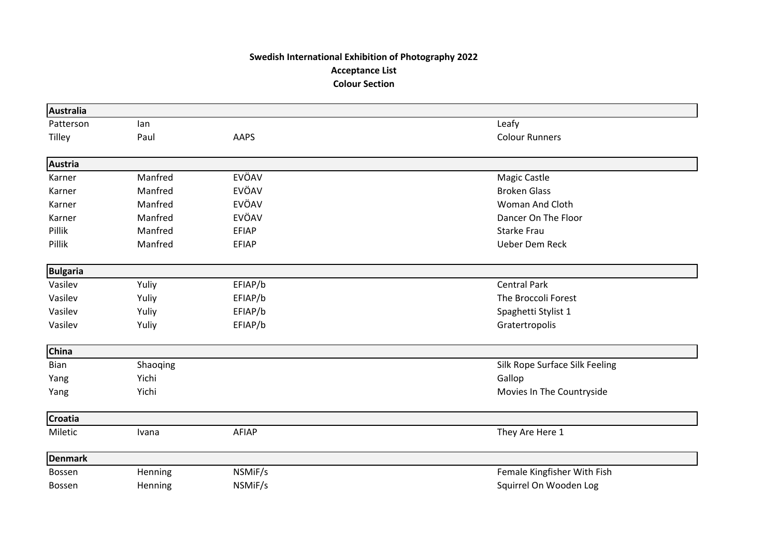## **Swedish International Exhibition of Photography 2022 Acceptance List Colour Section**

| <b>Australia</b> |          |              |                                |
|------------------|----------|--------------|--------------------------------|
| Patterson        | lan      |              | Leafy                          |
| <b>Tilley</b>    | Paul     | AAPS         | <b>Colour Runners</b>          |
| <b>Austria</b>   |          |              |                                |
| Karner           | Manfred  | EVÖAV        | Magic Castle                   |
| Karner           | Manfred  | EVÖAV        | <b>Broken Glass</b>            |
| Karner           | Manfred  | EVÖAV        | Woman And Cloth                |
| Karner           | Manfred  | EVÖAV        | Dancer On The Floor            |
| Pillik           | Manfred  | <b>EFIAP</b> | <b>Starke Frau</b>             |
| Pillik           | Manfred  | <b>EFIAP</b> | <b>Ueber Dem Reck</b>          |
| <b>Bulgaria</b>  |          |              |                                |
| Vasilev          | Yuliy    | EFIAP/b      | <b>Central Park</b>            |
| Vasilev          | Yuliy    | EFIAP/b      | The Broccoli Forest            |
| Vasilev          | Yuliy    | EFIAP/b      | Spaghetti Stylist 1            |
| Vasilev          | Yuliy    | EFIAP/b      | Gratertropolis                 |
| China            |          |              |                                |
| Bian             | Shaoqing |              | Silk Rope Surface Silk Feeling |
| Yang             | Yichi    |              | Gallop                         |
| Yang             | Yichi    |              | Movies In The Countryside      |
| Croatia          |          |              |                                |
| Miletic          | Ivana    | AFIAP        | They Are Here 1                |
| <b>Denmark</b>   |          |              |                                |
| <b>Bossen</b>    | Henning  | NSMiF/s      | Female Kingfisher With Fish    |
| <b>Bossen</b>    | Henning  | NSMiF/s      | Squirrel On Wooden Log         |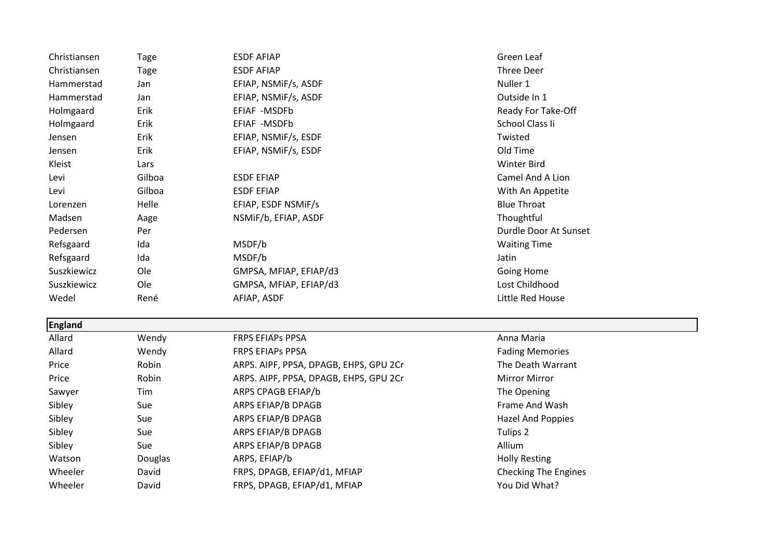| Christiansen   | Tage   | <b>ESDF AFIAP</b>                      | Green Leaf             |
|----------------|--------|----------------------------------------|------------------------|
| Christiansen   | Tage   | <b>ESDF AFIAP</b>                      | Three Deer             |
| Hammerstad     | Jan    | EFIAP, NSMIF/s, ASDF                   | Nuller 1               |
| Hammerstad     | Jan    | EFIAP, NSMIF/s, ASDF                   | Outside In 1           |
| Holmgaard      | Erik   | EFIAF -MSDFb                           | Ready For Take-Off     |
| Holmgaard      | Erik   | EFIAF -MSDFb                           | School Class Ii        |
| Jensen         | Erik   | EFIAP, NSMIF/s, ESDF                   | Twisted                |
| Jensen         | Erik   | EFIAP, NSMIF/s, ESDF                   | Old Time               |
| Kleist         | Lars   |                                        | <b>Winter Bird</b>     |
| Levi           | Gilboa | <b>ESDF EFIAP</b>                      | Camel And A Lion       |
| Levi           | Gilboa | <b>ESDF EFIAP</b>                      | With An Appetite       |
| Lorenzen       | Helle  | EFIAP, ESDF NSMIF/s                    | <b>Blue Throat</b>     |
| Madsen         | Aage   | NSMiF/b, EFIAP, ASDF                   | Thoughtful             |
| Pedersen       | Per    |                                        | Durdle Door At Sunset  |
| Refsgaard      | Ida    | MSDF/b                                 | <b>Waiting Time</b>    |
| Refsgaard      | Ida    | MSDF/b                                 | Jatin                  |
| Suszkiewicz    | Ole    | GMPSA, MFIAP, EFIAP/d3                 | <b>Going Home</b>      |
| Suszkiewicz    | Ole    | GMPSA, MFIAP, EFIAP/d3                 | Lost Childhood         |
| Wedel          | René   | AFIAP, ASDF                            | Little Red House       |
| <b>England</b> |        |                                        |                        |
| Allard         | Wendy  | <b>FRPS EFIAPS PPSA</b>                | Anna Maria             |
| Allard         | Wendy  | <b>FRPS EFIAPS PPSA</b>                | <b>Fading Memories</b> |
| Price          | Robin  | ARPS. AIPF, PPSA, DPAGB, EHPS, GPU 2Cr | The Death Warrant      |
| Price          | Robin  | ARPS. AIPF, PPSA, DPAGB, EHPS, GPU 2Cr | <b>Mirror Mirror</b>   |
| Sawyer         | Tim    | ARPS CPAGB EFIAP/b                     | The Opening            |
| Siblev         | Sue    | ARPS EFIAP/B DPAGB                     | Frame And Wash         |

| Alidiu  | <b>VVEHUV</b>  | FNEJ EFIAES FEJA.                      | <b>Faully IVIEIIIUIIES</b>  |  |
|---------|----------------|----------------------------------------|-----------------------------|--|
| Price   | Robin          | ARPS. AIPF, PPSA, DPAGB, EHPS, GPU 2Cr | The Death Warrant           |  |
| Price   | Robin          | ARPS. AIPF, PPSA, DPAGB, EHPS, GPU 2Cr | <b>Mirror Mirror</b>        |  |
| Sawyer  | Tim            | ARPS CPAGB EFIAP/b                     | The Opening                 |  |
| Sibley  | Sue            | ARPS EFIAP/B DPAGB                     | Frame And Wash              |  |
| Sibley  | Sue            | ARPS EFIAP/B DPAGB                     | <b>Hazel And Poppies</b>    |  |
| Sibley  | Sue            | ARPS EFIAP/B DPAGB                     | Tulips 2                    |  |
| Sibley  | Sue            | ARPS EFIAP/B DPAGB                     | Allium                      |  |
| Watson  | <b>Douglas</b> | ARPS, EFIAP/b                          | <b>Holly Resting</b>        |  |
| Wheeler | David          | FRPS, DPAGB, EFIAP/d1, MFIAP           | <b>Checking The Engines</b> |  |
| Wheeler | David          | FRPS, DPAGB, EFIAP/d1, MFIAP           | You Did What?               |  |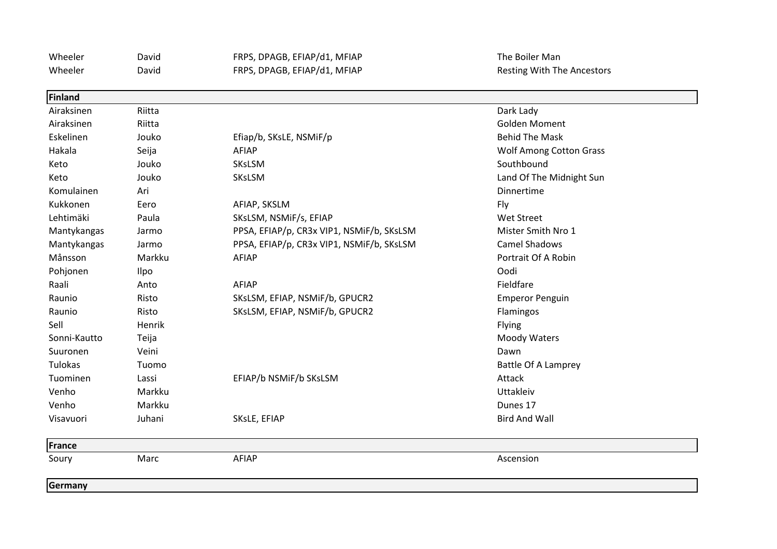| Wheeler        |  |
|----------------|--|
| <i>Mboolor</i> |  |

David FRPS, DPAGB, EFIAP/d1, MFIAP THE Boiler Man Wheeler **David** David FRPS, DPAGB, EFIAP/d1, MFIAP **Resting With The Ancestors** 

| Finland       |        |                                           |                                |
|---------------|--------|-------------------------------------------|--------------------------------|
| Airaksinen    | Riitta |                                           | Dark Lady                      |
| Airaksinen    | Riitta |                                           | <b>Golden Moment</b>           |
| Eskelinen     | Jouko  | Efiap/b, SKsLE, NSMiF/p                   | <b>Behid The Mask</b>          |
| Hakala        | Seija  | AFIAP                                     | <b>Wolf Among Cotton Grass</b> |
| Keto          | Jouko  | SKsLSM                                    | Southbound                     |
| Keto          | Jouko  | SKsLSM                                    | Land Of The Midnight Sun       |
| Komulainen    | Ari    |                                           | Dinnertime                     |
| Kukkonen      | Eero   | AFIAP, SKSLM                              | Fly                            |
| Lehtimäki     | Paula  | SKsLSM, NSMiF/s, EFIAP                    | Wet Street                     |
| Mantykangas   | Jarmo  | PPSA, EFIAP/p, CR3x VIP1, NSMiF/b, SKsLSM | Mister Smith Nro 1             |
| Mantykangas   | Jarmo  | PPSA, EFIAP/p, CR3x VIP1, NSMiF/b, SKsLSM | <b>Camel Shadows</b>           |
| Månsson       | Markku | <b>AFIAP</b>                              | Portrait Of A Robin            |
| Pohjonen      | Ilpo   |                                           | Oodi                           |
| Raali         | Anto   | AFIAP                                     | Fieldfare                      |
| Raunio        | Risto  | SKsLSM, EFIAP, NSMiF/b, GPUCR2            | <b>Emperor Penguin</b>         |
| Raunio        | Risto  | SKsLSM, EFIAP, NSMiF/b, GPUCR2            | Flamingos                      |
| Sell          | Henrik |                                           | <b>Flying</b>                  |
| Sonni-Kautto  | Teija  |                                           | <b>Moody Waters</b>            |
| Suuronen      | Veini  |                                           | Dawn                           |
| Tulokas       | Tuomo  |                                           | <b>Battle Of A Lamprey</b>     |
| Tuominen      | Lassi  | EFIAP/b NSMiF/b SKsLSM                    | Attack                         |
| Venho         | Markku |                                           | Uttakleiv                      |
| Venho         | Markku |                                           | Dunes 17                       |
| Visavuori     | Juhani | SKsLE, EFIAP                              | <b>Bird And Wall</b>           |
| <b>France</b> |        |                                           |                                |
| Soury         | Marc   | <b>AFIAP</b>                              | Ascension                      |
| Germany       |        |                                           |                                |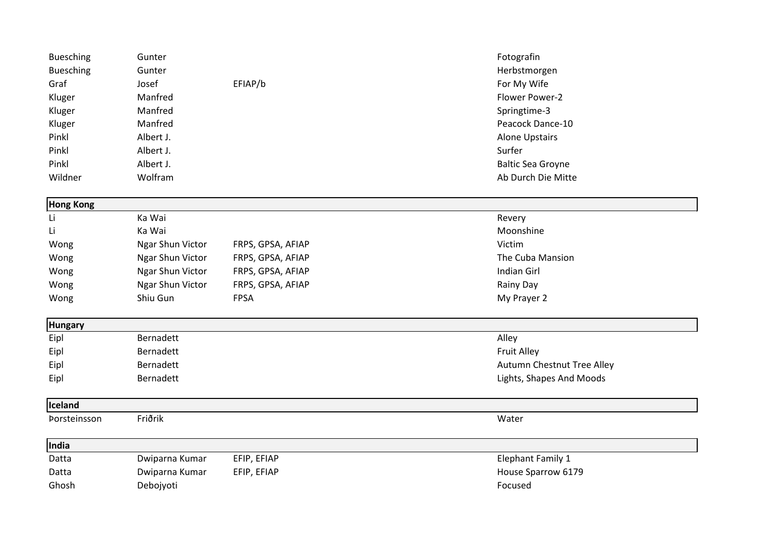| <b>Buesching</b> | Gunter           |                   | Fotografin                 |
|------------------|------------------|-------------------|----------------------------|
| <b>Buesching</b> | Gunter           |                   | Herbstmorgen               |
| Graf             | Josef            | EFIAP/b           | For My Wife                |
| Kluger           | Manfred          |                   | Flower Power-2             |
| Kluger           | Manfred          |                   | Springtime-3               |
| Kluger           | Manfred          |                   | Peacock Dance-10           |
| Pinkl            | Albert J.        |                   | <b>Alone Upstairs</b>      |
| Pinkl            | Albert J.        |                   | Surfer                     |
| Pinkl            | Albert J.        |                   | <b>Baltic Sea Groyne</b>   |
| Wildner          | Wolfram          |                   | Ab Durch Die Mitte         |
| <b>Hong Kong</b> |                  |                   |                            |
| Li               | Ka Wai           |                   | Revery                     |
| Li               | Ka Wai           |                   | Moonshine                  |
| Wong             | Ngar Shun Victor | FRPS, GPSA, AFIAP | Victim                     |
| Wong             | Ngar Shun Victor | FRPS, GPSA, AFIAP | The Cuba Mansion           |
| Wong             | Ngar Shun Victor | FRPS, GPSA, AFIAP | Indian Girl                |
| Wong             | Ngar Shun Victor | FRPS, GPSA, AFIAP | Rainy Day                  |
| Wong             | Shiu Gun         | <b>FPSA</b>       | My Prayer 2                |
| <b>Hungary</b>   |                  |                   |                            |
| Eipl             | Bernadett        |                   | Alley                      |
| Eipl             | <b>Bernadett</b> |                   | Fruit Alley                |
| Eipl             | Bernadett        |                   | Autumn Chestnut Tree Alley |
| Eipl             | <b>Bernadett</b> |                   | Lights, Shapes And Moods   |
| Iceland          |                  |                   |                            |
| Þorsteinsson     | Friðrik          |                   | Water                      |
| India            |                  |                   |                            |
| Datta            | Dwiparna Kumar   | EFIP, EFIAP       | <b>Elephant Family 1</b>   |
| Datta            | Dwiparna Kumar   | EFIP, EFIAP       | House Sparrow 6179         |
| Ghosh            | Debojyoti        |                   | Focused                    |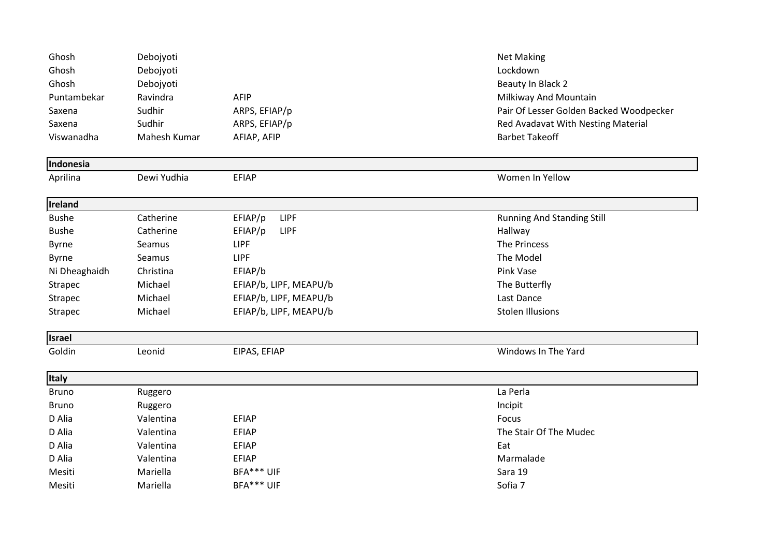| Ghosh<br>Ghosh<br>Ghosh<br>Puntambekar<br>Saxena | Debojyoti<br>Debojyoti<br>Debojyoti<br>Ravindra<br>Sudhir | AFIP<br>ARPS, EFIAP/p  | <b>Net Making</b><br>Lockdown<br>Beauty In Black 2<br>Milkiway And Mountain<br>Pair Of Lesser Golden Backed Woodpecker |
|--------------------------------------------------|-----------------------------------------------------------|------------------------|------------------------------------------------------------------------------------------------------------------------|
| Saxena                                           | Sudhir                                                    | ARPS, EFIAP/p          | Red Avadavat With Nesting Material                                                                                     |
| Viswanadha                                       | Mahesh Kumar                                              | AFIAP, AFIP            | <b>Barbet Takeoff</b>                                                                                                  |
| Indonesia                                        |                                                           |                        |                                                                                                                        |
| Aprilina                                         | Dewi Yudhia                                               | <b>EFIAP</b>           | Women In Yellow                                                                                                        |
| Ireland                                          |                                                           |                        |                                                                                                                        |
| <b>Bushe</b>                                     | Catherine                                                 | LIPF<br>EFIAP/p        | <b>Running And Standing Still</b>                                                                                      |
| <b>Bushe</b>                                     | Catherine                                                 | EFIAP/p<br><b>LIPF</b> | Hallway                                                                                                                |
| <b>Byrne</b>                                     | Seamus                                                    | LIPF                   | The Princess                                                                                                           |
| Byrne                                            | Seamus                                                    | LIPF                   | The Model                                                                                                              |
| Ni Dheaghaidh                                    | Christina                                                 | EFIAP/b                | Pink Vase                                                                                                              |
| Strapec                                          | Michael                                                   | EFIAP/b, LIPF, MEAPU/b | The Butterfly                                                                                                          |
| Strapec                                          | Michael                                                   | EFIAP/b, LIPF, MEAPU/b | Last Dance                                                                                                             |
| Strapec                                          | Michael                                                   | EFIAP/b, LIPF, MEAPU/b | <b>Stolen Illusions</b>                                                                                                |
| <b>Israel</b>                                    |                                                           |                        |                                                                                                                        |
| Goldin                                           | Leonid                                                    | EIPAS, EFIAP           | Windows In The Yard                                                                                                    |
| <b>Italy</b>                                     |                                                           |                        |                                                                                                                        |
| <b>Bruno</b>                                     | Ruggero                                                   |                        | La Perla                                                                                                               |
| <b>Bruno</b>                                     | Ruggero                                                   |                        | Incipit                                                                                                                |
| D Alia                                           | Valentina                                                 | <b>EFIAP</b>           | Focus                                                                                                                  |
| D Alia                                           | Valentina                                                 | <b>EFIAP</b>           | The Stair Of The Mudec                                                                                                 |
| D Alia                                           | Valentina                                                 | <b>EFIAP</b>           | Eat                                                                                                                    |
| D Alia                                           | Valentina                                                 | <b>EFIAP</b>           | Marmalade                                                                                                              |
| Mesiti                                           | Mariella                                                  | BFA*** UIF             | Sara 19                                                                                                                |
| Mesiti                                           | Mariella                                                  | BFA*** UIF             | Sofia 7                                                                                                                |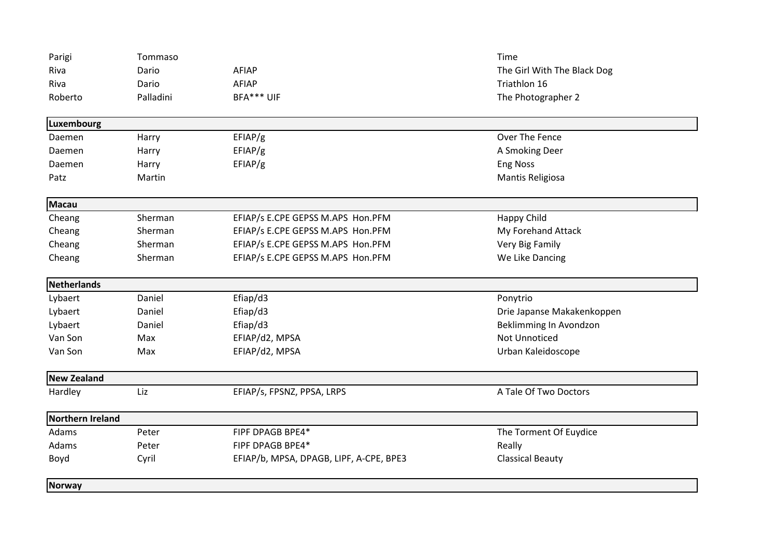| Parigi             | Tommaso   |                                         | Time                        |
|--------------------|-----------|-----------------------------------------|-----------------------------|
| Riva               | Dario     | <b>AFIAP</b>                            | The Girl With The Black Dog |
| Riva               | Dario     | AFIAP                                   | Triathlon 16                |
| Roberto            | Palladini | BFA*** UIF                              | The Photographer 2          |
|                    |           |                                         |                             |
| Luxembourg         |           |                                         |                             |
| Daemen             | Harry     | EFIAP/g                                 | Over The Fence              |
| Daemen             | Harry     | EFIAP/g                                 | A Smoking Deer              |
| Daemen             | Harry     | EFIAP/g                                 | <b>Eng Noss</b>             |
| Patz               | Martin    |                                         | Mantis Religiosa            |
| <b>Macau</b>       |           |                                         |                             |
| Cheang             | Sherman   | EFIAP/s E.CPE GEPSS M.APS Hon.PFM       | Happy Child                 |
| Cheang             | Sherman   | EFIAP/s E.CPE GEPSS M.APS Hon.PFM       | My Forehand Attack          |
| Cheang             | Sherman   | EFIAP/s E.CPE GEPSS M.APS Hon.PFM       | Very Big Family             |
| Cheang             | Sherman   | EFIAP/s E.CPE GEPSS M.APS Hon.PFM       | We Like Dancing             |
| Netherlands        |           |                                         |                             |
| Lybaert            | Daniel    | Efiap/d3                                | Ponytrio                    |
| Lybaert            | Daniel    | Efiap/d3                                | Drie Japanse Makakenkoppen  |
| Lybaert            | Daniel    | Efiap/d3                                | Beklimming In Avondzon      |
| Van Son            | Max       | EFIAP/d2, MPSA                          | Not Unnoticed               |
| Van Son            | Max       | EFIAP/d2, MPSA                          | Urban Kaleidoscope          |
| <b>New Zealand</b> |           |                                         |                             |
| Hardley            | Liz       | EFIAP/s, FPSNZ, PPSA, LRPS              | A Tale Of Two Doctors       |
| Northern Ireland   |           |                                         |                             |
| Adams              | Peter     | FIPF DPAGB BPE4*                        | The Torment Of Euydice      |
| Adams              | Peter     | FIPF DPAGB BPE4*                        | Really                      |
| Boyd               | Cyril     | EFIAP/b, MPSA, DPAGB, LIPF, A-CPE, BPE3 | <b>Classical Beauty</b>     |
| <b>Norway</b>      |           |                                         |                             |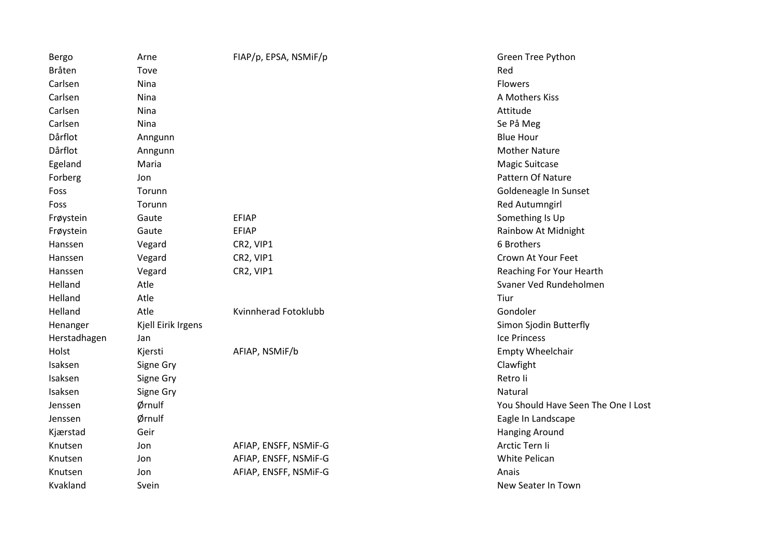| Bergo        | Arne               | FIAP/p, EPSA, NSMiF/p | Green Tree Python                   |
|--------------|--------------------|-----------------------|-------------------------------------|
| Bråten       | Tove               |                       | Red                                 |
| Carlsen      | Nina               |                       | Flowers                             |
| Carlsen      | Nina               |                       | A Mothers Kiss                      |
| Carlsen      | Nina               |                       | Attitude                            |
| Carlsen      | Nina               |                       | Se På Meg                           |
| Dårflot      | Anngunn            |                       | <b>Blue Hour</b>                    |
| Dårflot      | Anngunn            |                       | <b>Mother Nature</b>                |
| Egeland      | Maria              |                       | <b>Magic Suitcase</b>               |
| Forberg      | Jon                |                       | Pattern Of Nature                   |
| Foss         | Torunn             |                       | Goldeneagle In Sunset               |
| Foss         | Torunn             |                       | Red Autumngirl                      |
| Frøystein    | Gaute              | <b>EFIAP</b>          | Something Is Up                     |
| Frøystein    | Gaute              | <b>EFIAP</b>          | Rainbow At Midnight                 |
| Hanssen      | Vegard             | CR2, VIP1             | 6 Brothers                          |
| Hanssen      | Vegard             | CR2, VIP1             | Crown At Your Feet                  |
| Hanssen      | Vegard             | CR2, VIP1             | Reaching For Your Hearth            |
| Helland      | Atle               |                       | Svaner Ved Rundeholmen              |
| Helland      | Atle               |                       | Tiur                                |
| Helland      | Atle               | Kvinnherad Fotoklubb  | Gondoler                            |
| Henanger     | Kjell Eirik Irgens |                       | Simon Sjodin Butterfly              |
| Herstadhagen | Jan                |                       | <b>Ice Princess</b>                 |
| Holst        | Kjersti            | AFIAP, NSMIF/b        | <b>Empty Wheelchair</b>             |
| Isaksen      | Signe Gry          |                       | Clawfight                           |
| Isaksen      | Signe Gry          |                       | Retro li                            |
| Isaksen      | Signe Gry          |                       | Natural                             |
| Jenssen      | Ørnulf             |                       | You Should Have Seen The One I Lost |
| Jenssen      | Ørnulf             |                       | Eagle In Landscape                  |
| Kjærstad     | Geir               |                       | <b>Hanging Around</b>               |
| Knutsen      | Jon                | AFIAP, ENSFF, NSMIF-G | Arctic Tern li                      |
| Knutsen      | Jon                | AFIAP, ENSFF, NSMIF-G | White Pelican                       |
| Knutsen      | Jon                | AFIAP, ENSFF, NSMIF-G | Anais                               |
| Kvakland     | Svein              |                       | New Seater In Town                  |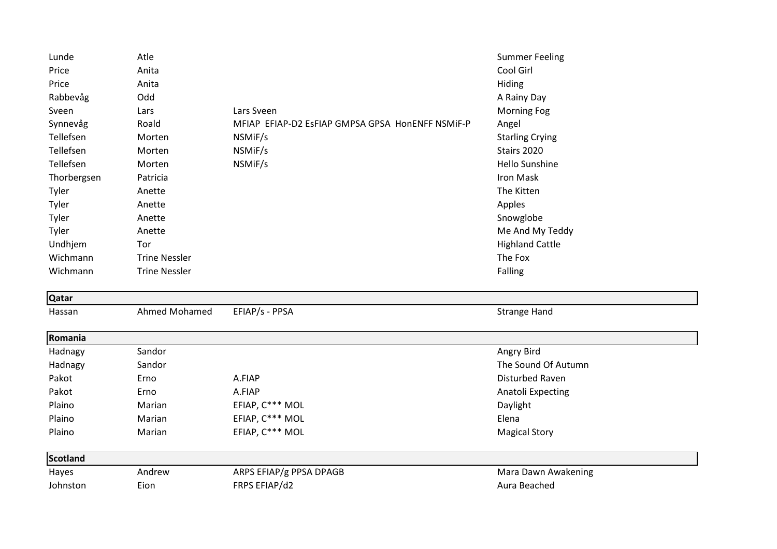| Lunde           | Atle                 |                                                  | <b>Summer Feeling</b>    |
|-----------------|----------------------|--------------------------------------------------|--------------------------|
| Price           | Anita                |                                                  | Cool Girl                |
| Price           | Anita                |                                                  | Hiding                   |
| Rabbevåg        | Odd                  |                                                  | A Rainy Day              |
| Sveen           | Lars                 | Lars Sveen                                       | <b>Morning Fog</b>       |
| Synnevåg        | Roald                | MFIAP EFIAP-D2 EsFIAP GMPSA GPSA HONENFF NSMIF-P | Angel                    |
| Tellefsen       | Morten               | NSMIF/s                                          | <b>Starling Crying</b>   |
| Tellefsen       | Morten               | NSMiF/s                                          | Stairs 2020              |
| Tellefsen       | Morten               | NSMiF/s                                          | <b>Hello Sunshine</b>    |
| Thorbergsen     | Patricia             |                                                  | Iron Mask                |
| Tyler           | Anette               |                                                  | The Kitten               |
| Tyler           | Anette               |                                                  | Apples                   |
| Tyler           | Anette               |                                                  | Snowglobe                |
| Tyler           | Anette               |                                                  | Me And My Teddy          |
| Undhjem         | Tor                  |                                                  | <b>Highland Cattle</b>   |
| Wichmann        | <b>Trine Nessler</b> |                                                  | The Fox                  |
| Wichmann        | <b>Trine Nessler</b> |                                                  | Falling                  |
| Qatar           |                      |                                                  |                          |
| Hassan          | Ahmed Mohamed        | EFIAP/s - PPSA                                   | <b>Strange Hand</b>      |
| Romania         |                      |                                                  |                          |
| Hadnagy         | Sandor               |                                                  | Angry Bird               |
| Hadnagy         | Sandor               |                                                  | The Sound Of Autumn      |
| Pakot           | Erno                 | A.FIAP                                           | <b>Disturbed Raven</b>   |
| Pakot           | Erno                 | A.FIAP                                           | <b>Anatoli Expecting</b> |
| Plaino          | Marian               | EFIAP, C*** MOL                                  | Daylight                 |
| Plaino          | Marian               | EFIAP, C*** MOL                                  | Elena                    |
| Plaino          | Marian               | EFIAP, C*** MOL                                  | <b>Magical Story</b>     |
| <b>Scotland</b> |                      |                                                  |                          |
| Hayes           | Andrew               | ARPS EFIAP/g PPSA DPAGB                          | Mara Dawn Awakening      |
| Johnston        |                      | FRPS EFIAP/d2                                    | Aura Beached             |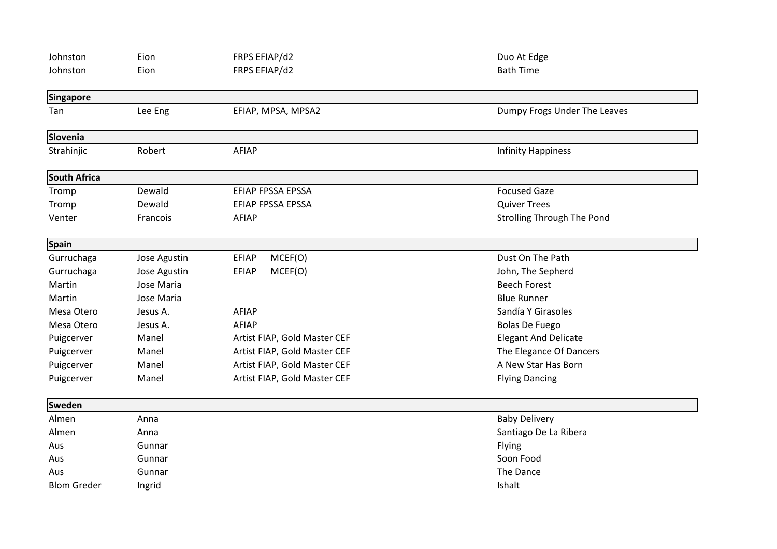| Johnston<br>Johnston | Eion<br>Eion | FRPS EFIAP/d2<br>FRPS EFIAP/d2 | Duo At Edge<br><b>Bath Time</b>   |
|----------------------|--------------|--------------------------------|-----------------------------------|
|                      |              |                                |                                   |
| <b>Singapore</b>     |              |                                |                                   |
| Tan                  | Lee Eng      | EFIAP, MPSA, MPSA2             | Dumpy Frogs Under The Leaves      |
| Slovenia             |              |                                |                                   |
| Strahinjic           | Robert       | <b>AFIAP</b>                   | <b>Infinity Happiness</b>         |
| <b>South Africa</b>  |              |                                |                                   |
| Tromp                | Dewald       | EFIAP FPSSA EPSSA              | <b>Focused Gaze</b>               |
| Tromp                | Dewald       | EFIAP FPSSA EPSSA              | <b>Quiver Trees</b>               |
| Venter               | Francois     | <b>AFIAP</b>                   | <b>Strolling Through The Pond</b> |
| <b>Spain</b>         |              |                                |                                   |
| Gurruchaga           | Jose Agustin | <b>EFIAP</b><br>MCEF(O)        | Dust On The Path                  |
| Gurruchaga           | Jose Agustin | MCEF(O)<br><b>EFIAP</b>        | John, The Sepherd                 |
| Martin               | Jose Maria   |                                | <b>Beech Forest</b>               |
| Martin               | Jose Maria   |                                | <b>Blue Runner</b>                |
| Mesa Otero           | Jesus A.     | AFIAP                          | Sandía Y Girasoles                |
| Mesa Otero           | Jesus A.     | <b>AFIAP</b>                   | <b>Bolas De Fuego</b>             |
| Puigcerver           | Manel        | Artist FIAP, Gold Master CEF   | <b>Elegant And Delicate</b>       |
| Puigcerver           | Manel        | Artist FIAP, Gold Master CEF   | The Elegance Of Dancers           |
| Puigcerver           | Manel        | Artist FIAP, Gold Master CEF   | A New Star Has Born               |
| Puigcerver           | Manel        | Artist FIAP, Gold Master CEF   | <b>Flying Dancing</b>             |
| <b>Sweden</b>        |              |                                |                                   |
| Almen                | Anna         |                                | <b>Baby Delivery</b>              |
| Almen                | Anna         |                                | Santiago De La Ribera             |
| Aus                  | Gunnar       |                                | Flying                            |
| Aus                  | Gunnar       |                                | Soon Food                         |
| Aus                  | Gunnar       |                                | The Dance                         |
| <b>Blom Greder</b>   | Ingrid       |                                | Ishalt                            |